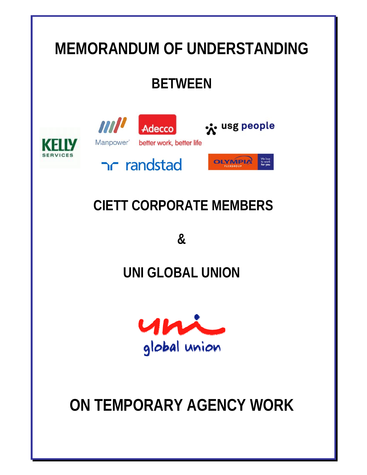# **MEMORANDUM OF UNDERSTANDING BETWEEN MILLER** x usg people Adecco Manpower better work, better life We love<br>to work<br>**for you** OLYMPIA randstad  **CIETT CORPORATE MEMBERS**

**&** 

## **UNI GLOBAL UNION**



# **ON TEMPORARY AGENCY WORK**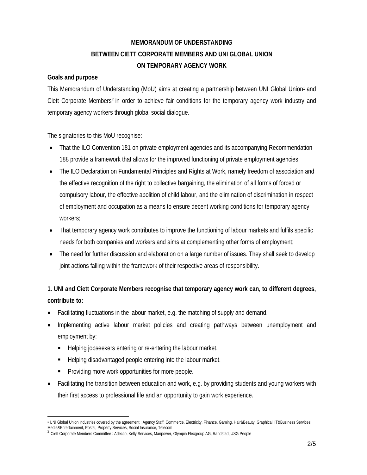## **MEMORANDUM OF UNDERSTANDING BETWEEN CIETT CORPORATE MEMBERS AND UNI GLOBAL UNION ON TEMPORARY AGENCY WORK**

#### **Goals and purpose**

This Memorandum of Understanding (MoU) aims at creating a partnership between UNI Global Union1 and Ciett Corporate Members2 in order to achieve fair conditions for the temporary agency work industry and temporary agency workers through global social dialogue.

The signatories to this MoU recognise:

- That the ILO Convention 181 on private employment agencies and its accompanying Recommendation 188 provide a framework that allows for the improved functioning of private employment agencies;
- The ILO Declaration on Fundamental Principles and Rights at Work, namely freedom of association and the effective recognition of the right to collective bargaining, the elimination of all forms of forced or compulsory labour, the effective abolition of child labour, and the elimination of discrimination in respect of employment and occupation as a means to ensure decent working conditions for temporary agency workers;
- That temporary agency work contributes to improve the functioning of labour markets and fulfils specific needs for both companies and workers and aims at complementing other forms of employment;
- The need for further discussion and elaboration on a large number of issues. They shall seek to develop joint actions falling within the framework of their respective areas of responsibility.

## **1. UNI and Ciett Corporate Members recognise that temporary agency work can, to different degrees, contribute to:**

- Facilitating fluctuations in the labour market, e.g. the matching of supply and demand.
- Implementing active labour market policies and creating pathways between unemployment and employment by:
	- Helping jobseekers entering or re-entering the labour market.
	- Helping disadvantaged people entering into the labour market.
	- **Providing more work opportunities for more people.**
- Facilitating the transition between education and work, e.g. by providing students and young workers with their first access to professional life and an opportunity to gain work experience.

 $\overline{a}$ 1 UNI Global Union industries covered by the agreement : Agency Staff, Commerce, Electricity, Finance, Gaming, Hair&Beauty, Graphical, IT&Business Services, Media&Entertainment, Postal, Property Services, Social Insurance, Telecom

 $^2$  Ciett Corporate Members Committee : Adecco, Kelly Services, Manpower, Olympia Flexgroup AG, Randstad, USG People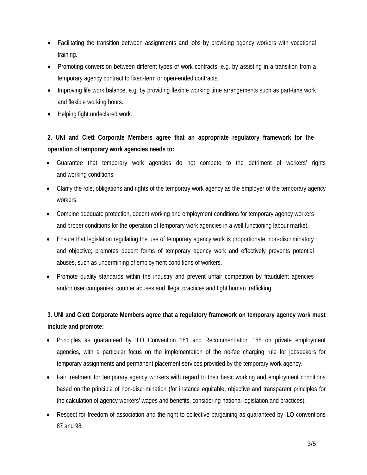- Facilitating the transition between assignments and jobs by providing agency workers with vocational training.
- Promoting conversion between different types of work contracts, e.g. by assisting in a transition from a temporary agency contract to fixed-term or open-ended contracts.
- Improving life work balance, e.g. by providing flexible working time arrangements such as part-time work and flexible working hours.
- Helping fight undeclared work.

## **2. UNI and Ciett Corporate Members agree that an appropriate regulatory framework for the operation of temporary work agencies needs to:**

- Guarantee that temporary work agencies do not compete to the detriment of workers' rights and working conditions.
- Clarify the role, obligations and rights of the temporary work agency as the employer of the temporary agency workers.
- Combine adequate protection, decent working and employment conditions for temporary agency workers and proper conditions for the operation of temporary work agencies in a well functioning labour market.
- Ensure that legislation regulating the use of temporary agency work is proportionate, non-discriminatory and objective; promotes decent forms of temporary agency work and effectively prevents potential abuses, such as undermining of employment conditions of workers.
- Promote quality standards within the industry and prevent unfair competition by fraudulent agencies and/or user companies, counter abuses and illegal practices and fight human trafficking.

### **3. UNI and Ciett Corporate Members agree that a regulatory framework on temporary agency work must include and promote:**

- Principles as guaranteed by ILO Convention 181 and Recommendation 188 on private employment agencies, with a particular focus on the implementation of the no-fee charging rule for jobseekers for temporary assignments and permanent placement services provided by the temporary work agency.
- Fair treatment for temporary agency workers with regard to their basic working and employment conditions based on the principle of non-discrimination (for instance equitable, objective and transparent principles for the calculation of agency workers' wages and benefits, considering national legislation and practices).
- Respect for freedom of association and the right to collective bargaining as guaranteed by ILO conventions 87 and 98.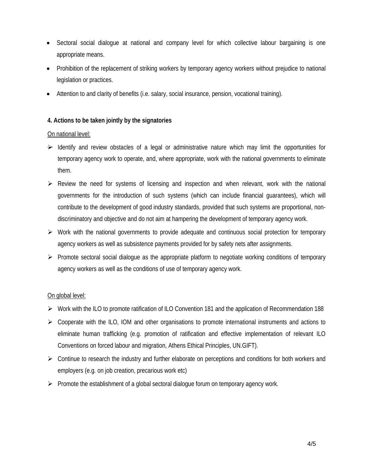- Sectoral social dialogue at national and company level for which collective labour bargaining is one appropriate means.
- Prohibition of the replacement of striking workers by temporary agency workers without prejudice to national legislation or practices.
- Attention to and clarity of benefits (i.e. salary, social insurance, pension, vocational training).

#### **4. Actions to be taken jointly by the signatories**

#### On national level:

- $\rightarrow$  Identify and review obstacles of a legal or administrative nature which may limit the opportunities for temporary agency work to operate, and, where appropriate, work with the national governments to eliminate them.
- $\triangleright$  Review the need for systems of licensing and inspection and when relevant, work with the national governments for the introduction of such systems (which can include financial guarantees), which will contribute to the development of good industry standards, provided that such systems are proportional, nondiscriminatory and objective and do not aim at hampering the development of temporary agency work.
- $\triangleright$  Work with the national governments to provide adequate and continuous social protection for temporary agency workers as well as subsistence payments provided for by safety nets after assignments.
- ¾ Promote sectoral social dialogue as the appropriate platform to negotiate working conditions of temporary agency workers as well as the conditions of use of temporary agency work.

#### On global level:

- ¾ Work with the ILO to promote ratification of ILO Convention 181 and the application of Recommendation 188
- $\triangleright$  Cooperate with the ILO, IOM and other organisations to promote international instruments and actions to eliminate human trafficking (e.g. promotion of ratification and effective implementation of relevant ILO Conventions on forced labour and migration, Athens Ethical Principles, UN.GIFT).
- $\triangleright$  Continue to research the industry and further elaborate on perceptions and conditions for both workers and employers (e.g. on job creation, precarious work etc)
- $\triangleright$  Promote the establishment of a global sectoral dialogue forum on temporary agency work.